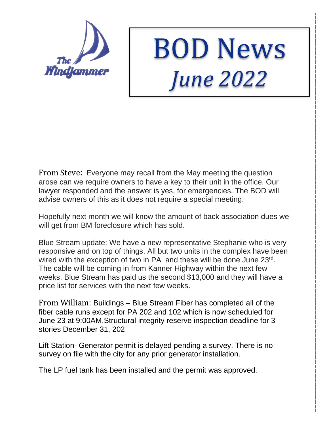

## BOD News *June 2022*

From Steve: Everyone may recall from the May meeting the question arose can we require owners to have a key to their unit in the office. Our lawyer responded and the answer is yes, for emergencies. The BOD will advise owners of this as it does not require a special meeting.

Hopefully next month we will know the amount of back association dues we will get from BM foreclosure which has sold.

Blue Stream update: We have a new representative Stephanie who is very responsive and on top of things. All but two units in the complex have been wired with the exception of two in PA and these will be done June 23<sup>rd</sup>. The cable will be coming in from Kanner Highway within the next few weeks. Blue Stream has paid us the second \$13,000 and they will have a price list for services with the next few weeks.

From William: Buildings – Blue Stream Fiber has completed all of the fiber cable runs except for PA 202 and 102 which is now scheduled for June 23 at 9:00AM.Structural integrity reserve inspection deadline for 3 stories December 31, 202

Lift Station- Generator permit is delayed pending a survey. There is no survey on file with the city for any prior generator installation.

The LP fuel tank has been installed and the permit was approved.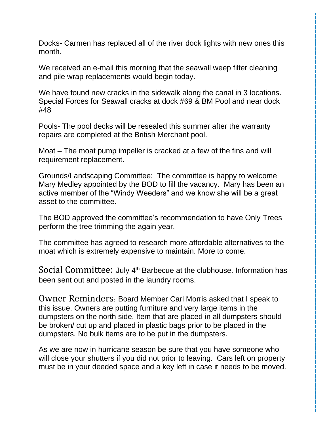Docks- Carmen has replaced all of the river dock lights with new ones this month.

We received an e-mail this morning that the seawall weep filter cleaning and pile wrap replacements would begin today.

We have found new cracks in the sidewalk along the canal in 3 locations. Special Forces for Seawall cracks at dock #69 & BM Pool and near dock #48

Pools- The pool decks will be resealed this summer after the warranty repairs are completed at the British Merchant pool.

Moat – The moat pump impeller is cracked at a few of the fins and will requirement replacement.

Grounds/Landscaping Committee: The committee is happy to welcome Mary Medley appointed by the BOD to fill the vacancy. Mary has been an active member of the "Windy Weeders" and we know she will be a great asset to the committee.

The BOD approved the committee's recommendation to have Only Trees perform the tree trimming the again year.

The committee has agreed to research more affordable alternatives to the moat which is extremely expensive to maintain. More to come.

Social Committee: July 4<sup>th</sup> Barbecue at the clubhouse. Information has been sent out and posted in the laundry rooms.

Owner Reminders: Board Member Carl Morris asked that I speak to this issue. Owners are putting furniture and very large items in the dumpsters on the north side. Item that are placed in all dumpsters should be broken/ cut up and placed in plastic bags prior to be placed in the dumpsters. No bulk items are to be put in the dumpsters.

As we are now in hurricane season be sure that you have someone who will close your shutters if you did not prior to leaving. Cars left on property must be in your deeded space and a key left in case it needs to be moved.